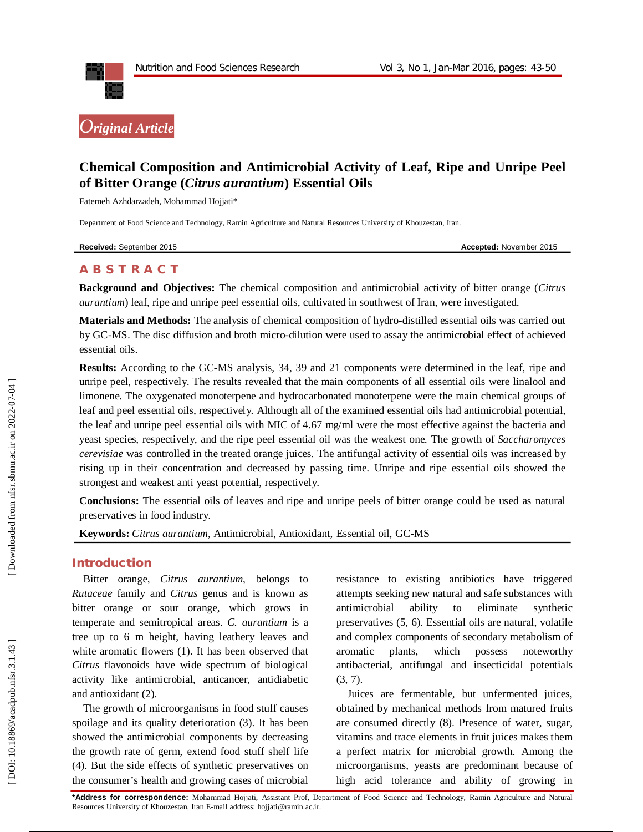



# **Chemical Composition and Antimicrobial Activity of Leaf, Ripe and Unripe Peel of Bitter Orange (***Citrus aurantium***) Essential Oils**

Fatemeh Azhdarzadeh, Mohammad Hojjati \*

Department of Food Science and Technology, Ramin Agriculture and Natural Resources University of Khouzestan, Iran .

**Received:** September 2015 **Accepted:** November 2015

# **A B S T R A C T**

**Background and Objectives:** The chemical composition and antimicrobial activity of bitter orange (*Citrus aurantium* ) leaf, ripe and unripe peel essential oils, cultivated in southwest of Iran, were investigated.

**Materials and Methods:** The analysis of chemical composition of hydro -distilled essential oils was carried out by GC -MS. The disc diffusion and broth micro -dilution were used to assay the antimicrobial effect of achieved essential oils.

**Results:** According to the GC -MS analysis, 34, 39 and 21 components were determined in the leaf, ripe and unripe peel, respectively. The results revealed that the main components of all essential oils were linalool and limonene. The oxygenated monoterpene and hydrocarbonated monoterpene were the main chemical groups of leaf and peel essential oils, respectively. Although all of the examined essential oils had antimicrobial potential, the leaf and unripe peel essential oils with MIC of 4.67 mg/ml were the most effective against the bacteria and yeast species, respectively, and the ripe peel essential oil was the weakest one. The growth of *Saccharomyces cerevisiae* was controlled in the treated orange juices. The antifungal activity of essential oils was increased by rising up in their concentration and decreased by passing time. Unripe and ripe essential oils showed the strongest and weakest anti yeast potential, respectively.

**Conclusions:** The essential oils of leaves and ripe and unripe peels of bitter orange could be used as natural preservatives in food industry .

**Keywords:** *Citrus aurantium*, Antimicrobial, Antioxidant, Essential oil, GC -MS

#### **Introduction**

Bitter orange, *Citrus aurantium*, belongs to *Rutaceae* family and *Citrus* genus and is known as bitter orange or sour orange, which grows in temperate and semitropical areas. *C. aurantium* is a tree up to 6 m height, having leathery leaves and white aromatic flowers (1). It has been observed that *Citrus* flavonoids have wide spectrum of biological activity like antimicrobial, anticancer, antidiabetic and antioxidant (2).

The growth of microorganisms in food stuff causes spoilage and its quality deterioration (3). It has been showed the antimicrobial components by decreasing the growth rate of germ, extend food stuff shelf life (4). But the side effects of synthetic preservatives on the consumer's health and growing cases of microbial

resistance to existing antibiotics have triggered attempts seeking new natural and safe substances with antimicrobial ability to eliminate synthetic preservatives (5, 6). Essential oils are natural, volatile and complex components of secondary metabolism of aromatic plants, which possess noteworthy antibacterial, antifungal and insecticidal potentials (3, 7).

Juices are fermentable, but unfermented juices, obtained by mechanical methods from matured fruits are consumed directly (8). Presence of water, sugar, vitamins and trace elements in fruit juices makes them a perfect matrix for microbial growth. Among the microorganisms, yeasts are predominant because of high acid tolerance and ability of growing in

**\*Address for correspondence:** Mohammad Hojjati, Assistant Prof, Department of Food Science and Technology, Ramin Agriculture and Natural Resources University of Khouzestan, Iran E -mail address: hojjati@ramin.ac.ir .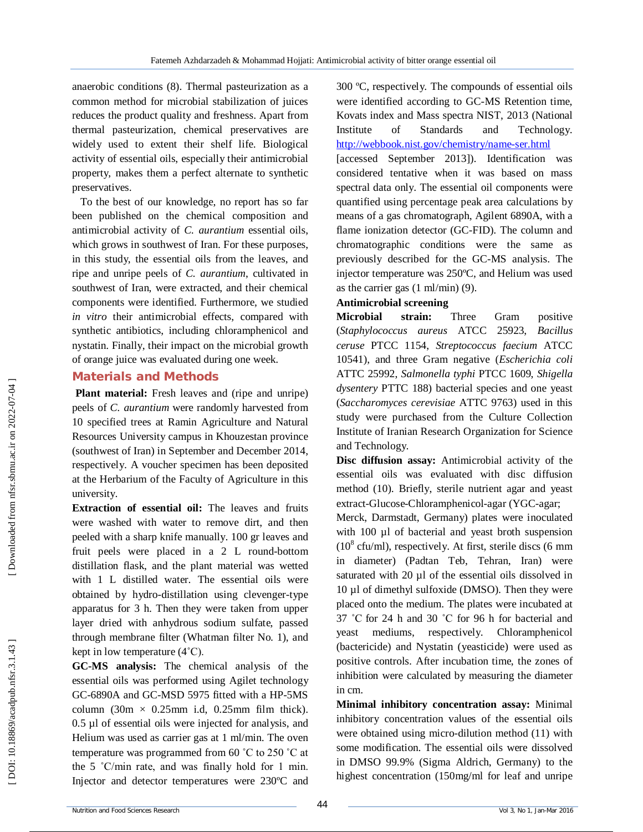anaerobic conditions (8). Thermal pasteurization as a common method for microbial stabilization of juices reduces the product quality and freshness. Apart from thermal pasteurization, chemical preservatives are widely used to extent their shelf life. Biological activity of essential oils, especially their antimicrobial property, makes them a perfect alternate to synthetic preservatives.

To the best of our knowledge, no report has so far been published on the chemical composition and antimicrobial activity of *C. aurantium* essential oils, which grows in southwest of Iran. For these purposes, in this study, the essential oils from the leaves, and ripe and unripe peels of *C. aurantium*, cultivated in southwest of Iran, were extracted, and their chemical components were identified. Furthermore, we studied *in vitro* their antimicrobial effects, compared with synthetic antibiotics, including chloramphenicol and nystatin. Finally, their impact on the microbial growth of orange juice was evaluated during one week.

### **Material s and Methods**

**Plant material:** Fresh leaves and (ripe and unripe) peels of *C. aurantium* were randomly harvested from 10 specified trees at Ramin Agriculture and Natural Resources University campus in Khouzestan province (southwest of Iran) in September and December 2014, respectively. A voucher specimen has been deposited at the Herbarium of the Faculty of Agriculture in this university.

**Extraction of essential oil:** The leaves and fruits were washed with water to remove dirt, and then peeled with a sharp knife manually. 100 gr leaves and fruit peels were placed in a 2 L round -bottom distillation flask, and the plant material was wetted with 1 L distilled water. The essential oils were obtained by hydro -distillation using clevenger -type apparatus for 3 h. Then they were taken from upper layer dried with anhydrous sodium sulfate, passed through membrane filter (Whatman filter No. 1), and kept in low temperature (4˚C).

**GC -MS analysis:** The chemical analysis of the essential oils was performed using Agilet technology GC-6890A and GC-MSD 5975 fitted with a HP-5MS column  $(30m \times 0.25mm)$  i.d, 0.25mm film thick). 0.5 µl of essential oils were injected for analysis, and Helium was used as carrier gas at 1 ml/min. The oven temperature was programmed from 60 ˚C to 250 ˚C at the 5 ˚C/min rate, and was finally hold for 1 min. Injector and detector temperatures were 230ºC and

300 ºC, respectively. The compounds of essential oils were identified according to GC -MS Retention time, Kovats index and Mass spectra NIST, 2013 (National Institute of Standards and Technology. http://webbook.nist.gov/chemistry/name-ser.html

[accessed September 2013] ). Identification was considered tentative when it was based on mass spectral data only. The essential oil components were quantified using percentage peak area calculations by means of a gas chromatograph, Agilent 6890A, with a flame ionization detector (GC -FID). The column and chromatographic conditions were the same as previously described for the GC -MS analysis. The injector temperature was 250ºC, and Helium was used as the carrier gas (1 ml/min) (9).

### **Antimicrobial screening**

**Microbial strain:** Three Gram positive (*Staphylococcus aureus* ATCC 25923, *Bacillus ceruse* PTCC 1154, *Streptococcus faecium* ATCC 10541), and three Gram negative (*Escherichia coli* ATTC 25992, *Salmonella typhi* PTCC 1609, *Shigella dysentery* PTTC 188) bacterial species and one yeast (*Saccharomyces cerevisiae* ATTC 9763) used in this study were purchased from the Culture Collection Institute of Iranian Research Organization for Science and Technology.

**Disc diffusion assay:** Antimicrobial activity of the essential oils was evaluated with disc diffusion method (10). Briefly, sterile nutrient agar and yeast extract -Glucose -Chloramphenicol -agar (YGC -agar;

Merck, Darmstadt, Germany) plates were inoculated with 100 µl of bacterial and yeast broth suspension  $(10<sup>8</sup>$  cfu/ml), respectively. At first, sterile discs  $(6 \text{ mm})$ in diameter) (Padtan Teb, Tehran, Iran) were saturated with 20 µl of the essential oils dissolved in 10 µl of dimethyl sulfoxide (DMSO). Then they were placed onto the medium. The plates were incubated at 37 ˚C for 24 h and 30 ˚C for 96 h for bacterial and yeast mediums, respectively. Chloramphenicol (bactericide) and Nystatin (yeasticide) were used as positive controls. After incubation time, the zones of inhibition were calculated by measuring the diameter in cm.

**Minimal inhibitory concentration assay:** Minimal inhibitory concentration values of the essential oils were obtained using micro -dilution method (11) with some modification. The essential oils were dissolved in DMSO 99.9% (Sigma Aldrich, Germany) to the highest concentration (150mg/ml for leaf and unripe

DOI: 10.18869/acadpub.nfsr.3.1.43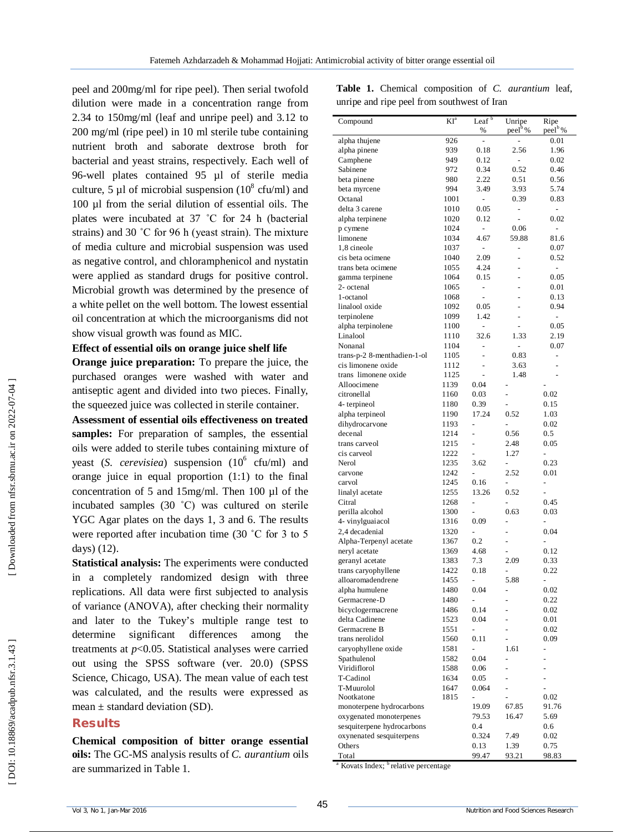peel and 200mg/ml for ripe peel). Then serial twofold dilution were made in a concentration range from 2.34 to 150mg/ml (leaf and unripe peel) and 3.12 to 200 mg/ml (ripe peel) in 10 ml sterile tube containing nutrient broth and saborate dextrose broth for bacterial and yeast strains, respectively. Each well of 96 -well plates contained 95 µl of sterile media culture, 5  $\mu$ 1 of microbial suspension (10<sup>8</sup> cfu/ml) and 100 µl from the serial dilution of essential oils. The plates were incubated at 37 ˚C for 24 h (bacterial strains) and 30 ˚C for 96 h (yeast strain). The mixture of media culture and microbial suspension was used as negative control, and chloramphenicol and nystatin were applied as standard drugs for positive control. Microbial growth was determined by the presence of a white pellet on the well bottom. The lowest essential oil concentration at which the microorganisms did not show visual growth was found as MIC.

#### **Effect of essential oils on orange juice shelf life**

**Orange juice preparation:** To prepare the juice, the purchased oranges were washed with water and antiseptic agent and divided into two pieces. Finally, the squeezed juice was collected in sterile container.

**Assessment of essential oils effectiveness on treated samples:** For preparation of samples, the essential oils were added to sterile tubes containing mixture of yeast (S. *cerevisiea*) suspension (10<sup>6</sup> cfu/ml) and orange juice in equal proportion (1:1) to the final concentration of 5 and 15mg/ml. Then 100 µl of the incubated samples (30 ˚C) was cultured on sterile YGC Agar plates on the days 1, 3 and 6. The results were reported after incubation time (30 ˚C for 3 to 5 days) (12).

**Statistical analysis:** The experiments were conducted in a completely randomized design with three replications. All data were first subjected to analysis of variance (ANOVA), after checking their normality and later to the Tukey's multiple range test to determine significant differences among treatments at *p*<0.05. Statistical analyses were carried out using the SPSS software (ver. 20.0) (SPSS Science, Chicago, USA). The mean value of each test was calculated, and the results were expressed as mean  $\pm$  standard deviation (SD).

#### **Results**

**Chemical composition of bitter orange essential oils:** The GC -MS analysis results of *C. aurantium* oils are summarized in Table 1.

|  | Table 1. Chemical composition of C. aurantium leaf, |  |  |
|--|-----------------------------------------------------|--|--|
|  | unripe and ripe peel from southwest of Iran         |  |  |

| Compound                                          | $KI^a$       | Leaf <sup>b</sup><br>%   | Unripe<br>peel <sup>b</sup> % | Ripe<br>peel <sup>b</sup> % |
|---------------------------------------------------|--------------|--------------------------|-------------------------------|-----------------------------|
| alpha thujene                                     | 926          |                          |                               | 0.01                        |
| alpha pinene                                      | 939          | 0.18                     | 2.56                          | 1.96                        |
| Camphene                                          | 949          | 0.12                     | $\frac{1}{2}$                 | 0.02                        |
| Sabinene                                          | 972          | 0.34                     | 0.52                          | 0.46                        |
| beta pinene                                       | 980          | 2.22                     | 0.51                          | 0.56                        |
| beta myrcene                                      | 994          | 3.49                     | 3.93                          | 5.74                        |
| Octanal                                           | 1001         | -                        | 0.39                          | 0.83                        |
| delta 3 carene                                    | 1010         | 0.05                     | -                             | $\blacksquare$              |
| alpha terpinene                                   | 1020         | 0.12                     |                               | 0.02                        |
| p cymene                                          | 1024         | $\overline{a}$           | 0.06                          | ÷                           |
| limonene                                          | 1034         | 4.67                     | 59.88                         | 81.6                        |
| 1.8 cineole                                       | 1037         |                          | -                             | 0.07                        |
| cis beta ocimene                                  | 1040         | 2.09                     |                               | 0.52                        |
| trans beta ocimene                                | 1055         | 4.24                     |                               | $\frac{1}{2}$               |
| gamma terpinene                                   | 1064         | 0.15                     |                               | 0.05                        |
| 2- octenal                                        | 1065         | ÷,                       |                               | 0.01                        |
| 1-octanol                                         | 1068         | $\overline{a}$           |                               | 0.13                        |
| linalool oxide                                    | 1092         | 0.05                     |                               | 0.94                        |
| terpinolene                                       | 1099         | 1.42                     |                               | -                           |
| alpha terpinolene                                 | 1100         | $\overline{a}$           |                               | 0.05<br>2.19                |
| Linalool<br>Nonanal                               | 1110         | 32.6                     | 1.33                          |                             |
|                                                   | 1104<br>1105 | L,                       | 0.83                          | 0.07                        |
| trans-p-2 8-menthadien-1-ol<br>cis limonene oxide | 1112         | -                        | 3.63                          | $\frac{1}{2}$<br>-          |
| trans limonene oxide                              | 1125         |                          | 1.48                          |                             |
| Alloocimene                                       | 1139         | 0.04                     |                               |                             |
| citronellal                                       | 1160         | 0.03                     | $\overline{a}$                | 0.02                        |
| 4-terpineol                                       | 1180         | 0.39                     | -                             | 0.15                        |
| alpha terpineol                                   | 1190         | 17.24                    | 0.52                          | 1.03                        |
| dihydrocarvone                                    | 1193         |                          |                               | 0.02                        |
| decenal                                           | 1214         |                          | 0.56                          | 0.5                         |
| trans carveol                                     | 1215         | $\overline{a}$           | 2.48                          | 0.05                        |
| cis carveol                                       | 1222         | $\overline{\phantom{0}}$ | 1.27                          | $\overline{\phantom{0}}$    |
| Nerol                                             | 1235         | 3.62                     | -                             | 0.23                        |
| carvone                                           | 1242         |                          | 2.52                          | 0.01                        |
| carvol                                            | 1245         | 0.16                     | ÷,                            | ÷                           |
| linalyl acetate                                   | 1255         | 13.26                    | 0.52                          | $\overline{\phantom{0}}$    |
| Citral                                            | 1268         | $\overline{a}$           | -                             | 0.45                        |
| perilla alcohol                                   | 1300         |                          | 0.63                          | 0.03                        |
| 4- vinylguaiacol                                  | 1316         | 0.09                     |                               |                             |
| 2,4 decadenial                                    | 1320         | ÷                        | -                             | 0.04                        |
| Alpha-Terpenyl acetate                            | 1367         | 0.2                      |                               | -                           |
| neryl acetate                                     | 1369         | 4.68                     |                               | 0.12                        |
| geranyl acetate                                   | 1383         | 7.3                      | 2.09                          | 0.33                        |
| trans caryophyllene                               | 1422         | 0.18                     | -                             | 0.22                        |
| alloaromadendrene                                 | 1455         | $\overline{a}$           | 5.88                          | $\overline{a}$              |
| alpha humulene                                    | 1480         | 0.04                     |                               | 0.02                        |
| Germacrene-D                                      | 1480         |                          |                               | 0.22                        |
| bicyclogermacrene                                 | 1486         | 0.14                     |                               | 0.02                        |
| delta Cadinene                                    | 1523         | 0.04                     | $\overline{a}$                | 0.01                        |
| Germacrene B                                      | 1551         |                          |                               | 0.02                        |
| trans nerolidol                                   | 1560         | 0.11                     | -                             | 0.09                        |
| caryophyllene oxide                               | 1581         | -                        | 1.61                          | -                           |
| Spathulenol                                       | 1582         | 0.04                     | -                             |                             |
| Viridiflorol                                      | 1588         | 0.06                     | -                             |                             |
| T-Cadinol                                         | 1634         | 0.05                     |                               |                             |
| T-Muurolol                                        | 1647         | 0.064                    | $\overline{a}$                | $\overline{\phantom{0}}$    |
| Nootkatone                                        | 1815         | $\overline{a}$           |                               | 0.02                        |
| monoterpene hydrocarbons                          |              | 19.09                    | 67.85                         | 91.76                       |
| oxygenated monoterpenes                           |              | 79.53                    | 16.47                         | 5.69                        |
| sesquiterpene hydrocarbons                        |              | 0.4                      |                               | 0.6                         |
| oxynenated sesquiterpens                          |              | 0.324                    | 7.49                          | 0.02                        |
| Others<br>Total                                   |              | 0.13<br>99.47            | 1.39<br>93.21                 | 0.75<br>98.83               |
|                                                   |              |                          |                               |                             |

<sup>a</sup> Kovats Index; <sup>b</sup>relative percentage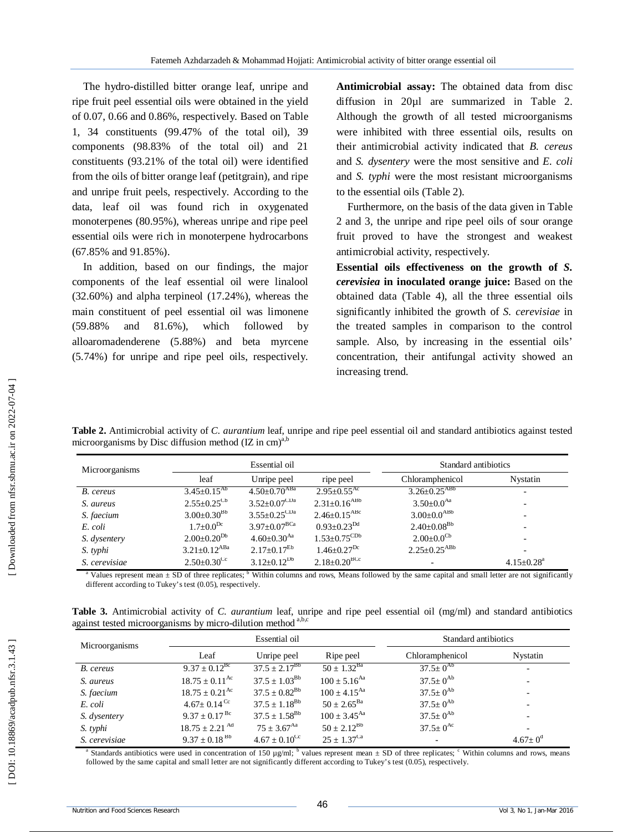The hydro -distilled bitter orange leaf, unripe and ripe fruit peel essential oils were obtained in the yield of 0.07, 0.66 and 0.86%, respectively. Based on Table 1, 34 constituents (99.47% of the total oil), 39 components (98.83% of the total oil) and 21 constituents (93.21% of the total oil) were identified from the oils of bitter orange leaf (petitgrain), and ripe and unripe fruit peels, respectively. According to the data, leaf oil was found rich in oxygenated monoterpenes (80.95%), whereas unripe and ripe peel essential oils were rich in monoterpene hydrocarbons (67.85% and 91.85%).

In addition, based on our findings, the major components of the leaf essential oil were linalool (32.60%) and alpha terpineol (17.24%), whereas the main constituent of peel essential oil was limonene (59.88% and 81.6%), which followed by alloaromadenderene (5.88%) and beta myrcene (5.74%) for unripe and ripe peel oils, respectively.

**Antimicrobial assay:** The obtained data from disc diffusion in 20µ1 are summarized in Table 2. Although the growth of all tested microorganisms were inhibited with three essential oils, results on their antimicrobial activity indicated that *B. cereus*  and *S. dysentery* were the most sensitive and *E. coli*  and *S. typhi* were the most resistant microorganisms to the essential oils (Table 2).

Furthermore, on the basis of the data given in Table 2 and 3, the unripe and ripe peel oils of sour orange fruit proved to have the strongest and weakest antimicrobial activity, respectively.

**Essential oils effectiveness on the growth of** *S. cerevisiea* **in inoculated orange juice:** Based on the obtained data (Table 4), all the three essential oils significantly inhibited the growth of *S. cerevisiae* in the treated samples in comparison to the control sample. Also, by increasing in the essential oils' concentration, their antifungal activity showed an increasing trend.

**Table 2.** Antimicrobial activity of *C. aurantium* leaf, unripe and ripe peel essential oil and standard antibiotics against tested microorganisms by Disc diffusion method  $(IZ in cm)<sup>a,b</sup>$ 

| Microorganisms |                                | Essential oil                  |                                | Standard antibiotics           |                              |  |
|----------------|--------------------------------|--------------------------------|--------------------------------|--------------------------------|------------------------------|--|
|                | leaf                           | Unripe peel                    | ripe peel                      | Chloramphenicol                | Nystatin                     |  |
| B. cereus      | $3.45 \pm 0.15$ <sup>Ab</sup>  | $4.50 \pm 0.70$ <sup>ABa</sup> | $2.95 + 0.55^{Ac}$             | $3.26 \pm 0.25$ <sup>ABb</sup> |                              |  |
| S. aureus      | $2.55 \pm 0.25$ <sup>Cb</sup>  | $3.52 \pm 0.07$ <sup>CDa</sup> | $2.31 \pm 0.16^{ABb}$          | $3.50+0.0^{Aa}$                |                              |  |
| S. faecium     | $3.00 \pm 0.30^{Bb}$           | $3.55 \pm 0.25$ <sup>CDa</sup> | $2.46 \pm 0.15$ <sup>ABc</sup> | $3.00\pm0.0^{ABb}$             |                              |  |
| E. coli        | $1.7+0.0^{Dc}$                 | $3.97 \pm 0.07^{\rm BCa}$      | $0.93 + 0.23^{Dd}$             | $2.40\pm0.08^{Bb}$             |                              |  |
| S. dysentery   | $2.00 \pm 0.20^{Db}$           | $4.60 + 0.30$ <sup>Aa</sup>    | $1.53 \pm 0.75^{\rm CDb}$      | $2.00 \pm 0.0$ <sup>Cb</sup>   |                              |  |
| S. typhi       | $3.21 \pm 0.12$ <sup>ABa</sup> | $2.17+0.17^{Eb}$               | $1.46 + 0.27$ <sup>Dc</sup>    | $2.25 + 0.25$ <sup>ABb</sup>   |                              |  |
| S. cerevisiae  | $2.50+0.30^{\circ}$            | $3.12 \pm 0.12^{Db}$           | $2.18 \pm 0.20$ <sup>BCc</sup> |                                | $4.15 \pm 0.28$ <sup>a</sup> |  |

<sup>a</sup> Values represent mean  $\pm$  SD of three replicates; <sup>b</sup> Within columns and rows, Means followed by the same capital and small letter are not significantly different according to Tukey's test (0.05), respectively.

**Table 3.** Antimicrobial activity of *C. aurantium* leaf, unripe and ripe peel essential oil (mg/ml) and standard antibiotics against tested microorganisms by micro-dilution method a,b,c

| Microorganisms |                                | Essential oil             | Standard antibiotics       |                          |                          |
|----------------|--------------------------------|---------------------------|----------------------------|--------------------------|--------------------------|
|                | Leaf                           | Unripe peel               | Ripe peel                  | Chloramphenicol          | Nystatin                 |
| B. cereus      | $9.37 \pm 0.12^{\text{BC}}$    | $37.5 \pm 2.17^{86}$      | $50 \pm 1.32^{Ba}$         | $37.5+0^{Ab}$            |                          |
| S. aureus      | $18.75 \pm 0.11$ <sup>Ac</sup> | $37.5 \pm 1.03^{Bb}$      | $100 + 5.16$ <sup>Aa</sup> | $37.5 \pm 0^{Ab}$        | -                        |
| S. faecium     | $18.75 + 0.21^{\text{Ac}}$     | $37.5 + 0.82^{Bb}$        | $100 \pm 4.15^{Aa}$        | $37.5 \pm 0^{Ab}$        | -                        |
| E. coli        | $4.67 \pm 0.14$ <sup>Cc</sup>  | $37.5 + 1.18^{Bb}$        | $50 + 2.65^{Ba}$           | $37.5 \pm 0^{Ab}$        | $\overline{\phantom{0}}$ |
| S. dysentery   | $9.37 \pm 0.17$ <sup>Bc</sup>  | $37.5 \pm 1.58^{Bb}$      | $100 + 3.45^{Aa}$          | $37.5 \pm 0^{Ab}$        |                          |
| S. typhi       | $18.75 + 2.21$ <sup>Ad</sup>   | $75 + 3.67^{\text{Aa}}$   | $50 + 2.12^{Bb}$           | $37.5 \pm 0^{Ac}$        | $\overline{\phantom{0}}$ |
| S. cerevisiae  | $9.37 + 0.18^{Bb}$             | $4.67 + 0.10^{\text{Cc}}$ | $25 + 1.37^{\text{Ca}}$    | $\overline{\phantom{a}}$ | $4.67 + 0^d$             |

<sup>a</sup> Standards antibiotics were used in concentration of 150  $\mu$ g/ml; <sup>b</sup> values represent mean  $\pm$  SD of three replicates;  $\degree$  Within columns and rows, means followed by the same capital and small letter are not significantly different according to Tukey's test (0.05), respectively.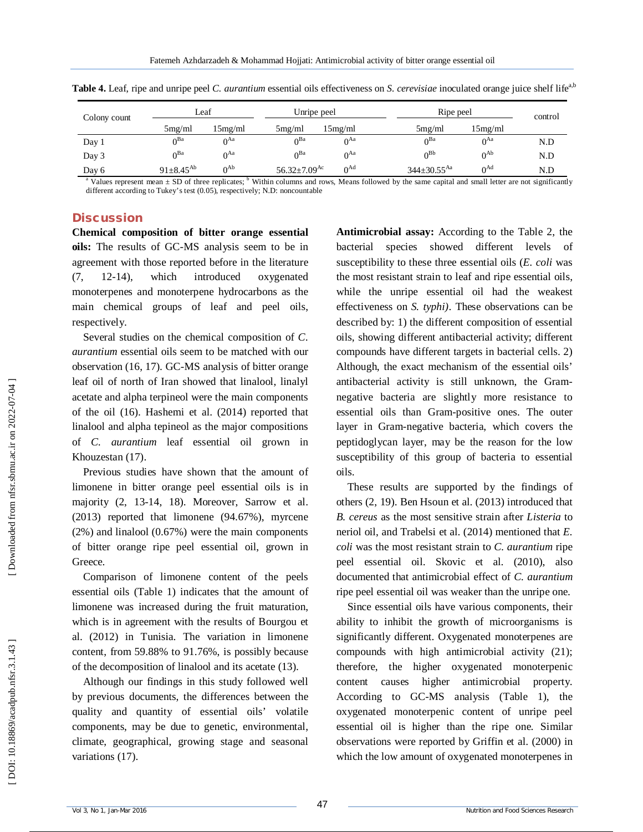| Colony count | Leaf               |          | Unripe peel                    |          | Ripe peel                     |                 | control |
|--------------|--------------------|----------|--------------------------------|----------|-------------------------------|-----------------|---------|
|              | 5mg/ml             | 15mg/ml  | 5mg/ml                         | 15mg/ml  | 5mg/ml                        | 15mg/ml         |         |
| Day 1        | $0^{Ba}$           | $0^{Aa}$ | $\bigcap$ Ba                   | $0^{Aa}$ | $0^{\text{Ba}}$               | $0^{Aa}$        | N.D     |
| Day 3        | ∩ <sup>Ba</sup>    | $0^{Aa}$ | $\bigcap$ Ba                   | $0^{Aa}$ | $0^{Bb}$                      | $0^{Ab}$        | N.D     |
| Day 6        | $91 \pm 8.45^{Ab}$ | $0^{Ab}$ | 56.32 $\pm$ 7.09 <sup>Ac</sup> | $0^{Ad}$ | $344 \pm 30.55$ <sup>Aa</sup> | $0^{\text{Ad}}$ | N.D     |

**Table 4.** Leaf, ripe and unripe peel *C. aurantium* essential oils effectiveness on *S. cerevisiae* inoculated orange juice shelf life<sup>a,b</sup>

<sup>a</sup> Values represent mean  $\pm$  SD of three replicates;  $\frac{b}{b}$  Within columns and rows, Means followed by the same capital and small letter are not significantly different according to Tukey's test (0.05), respectively; N.D: noncountable

#### **Discussion**

**Chemical composition of bitter orange essential oils:** The results of GC -MS analysis seem to be in agreement with those reported before in the literature  $(7, 12-14)$ , which introduced oxygenated monoterpenes and monoterpene hydrocarbons as the main chemical groups of leaf and peel oils, respectively.

Several studies on the chemical composition of *C. aurantium* essential oils seem to be matched with our observation (16, 17). GC -MS analysis of bitter orange leaf oil of north of Iran showed that linalool, linalyl acetate and alpha terpineol were the main components of the oil (16). Hashemi et al. (2014) reported that linalool and alpha tepineol as the major compositions of *C. aurantium* leaf essential oil grown in Khouzestan (17).

Previous studies have shown that the amount of limonene in bitter orange peel essential oils is in majority (2, 13 -14, 18). Moreover, Sarrow et al. (2013) reported that limonene (94.67%), myrcene (2%) and linalool (0.67%) were the main components of bitter orange ripe peel essential oil, grown in Greece.

Comparison of limonene content of the peels essential oils (Table 1) indicates that the amount of limonene was increased during the fruit maturation, which is in agreement with the results of Bourgou et al. (2012) in Tunisia. The variation in limonene content, from 59.88% to 91.76%, is possibly because of the decomposition of linalool and its acetate (13).

Although our findings in this study followed well by previous documents, the differences between the quality and quantity of essential oils' volatile components, may be due to genetic, environmental, climate, geographical, growing stage and seasonal variations (17).

**Antimicrobial assay:** According to the Table 2, the bacterial species showed different levels susceptibility to these three essential oils (*E. coli* was the most resistant strain to leaf and ripe essential oils, while the unripe essential oil had the weakest effectiveness on *S. typhi)*. These observations can be described by: 1) the different composition of essential oils, showing different antibacterial activity; different compounds have different targets in bacterial cells. 2) Although, the exact mechanism of the essential oils' antibacterial activity is still unknown, the Gram negative bacteria are slightly more resistance to essential oils than Gram -positive ones. The outer layer in Gram -negative bacteria, which covers the peptidoglycan layer, may be the reason for the low susceptibility of this group of bacteria to essential oils.

These results are supported by the findings of others (2, 19). Ben Hsoun et al. (2013) introduced that *B. cereus* as the most sensitive strain after *Listeria* to neriol oil, and Trabelsi et al. (2014) mentioned that *E. coli* was the most resistant strain to *C. aurantium* ripe peel essential oil. Skovic et al. (2010), also documented that antimicrobial effect of *C. aurantium*  ripe peel essential oil was weaker than the unripe one.

Since essential oils have various components, their ability to inhibit the growth of microorganisms is significantly different. Oxygenated monoterpenes are compounds with high antimicrobial activity (21); therefore, the higher oxygenated monoterpenic content causes higher antimicrobial property. According to GC -MS analysis (Table 1), the oxygenated monoterpenic content of unripe peel essential oil is higher than the ripe one. Similar observations were reported by Griffin et al. (2000) in which the low amount of oxygenated monoterpenes in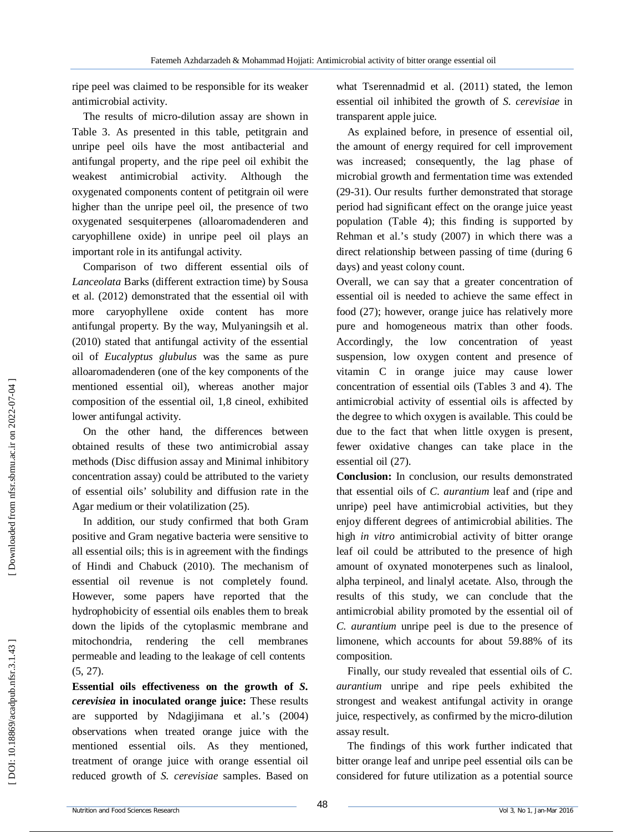ripe peel was claimed to be responsible for its weaker antimicrobial activity.

The results of micro -dilution assay are shown in Table 3. As presented in this table, petitgrain and unripe peel oils have the most antibacterial and antifungal property, and the ripe peel oil exhibit the weakest antimicrobial activity. Although the oxygenated components content of petitgrain oil were higher than the unripe peel oil, the presence of two oxygenated sesquiterpenes (alloaromadenderen and caryophillene oxide) in unripe peel oil plays an important role in its antifungal activity.

Comparison of two different essential oils of *Lanceolata* Barks (different extraction time) by Sousa et al. (2012) demonstrated that the essential oil with more caryophyllene oxide content has more antifungal property. By the way, Mulyaningsih et al. (2010) stated that antifungal activity of the essential oil of *Eucalyptus glubulus* was the same as pure alloaromadenderen (one of the key components of the mentioned essential oil), whereas another major composition of the essential oil, 1,8 cineol, exhibited lower antifungal activity.

On the other hand, the differences between obtained results of these two antimicrobial assay methods (Disc diffusion assay and Minimal inhibitory concentration assay) could be attributed to the variety of essential oils' solubility and diffusion rate in the Agar medium or their volatilization (25).

In addition, our study confirmed that both Gram positive and Gram negative bacteria were sensitive to all essential oils; this is in agreement with the findings of Hindi and Chabuck (2010). The mechanism of essential oil revenue is not completely found. However, some papers have reported that the hydrophobicity of essential oils enables them to break down the lipids of the cytoplasmic membrane and mitochondria, rendering the cell membranes permeable and leading to the leakage of cell contents (5, 27).

**Essential oils effectiveness on the growth of** *S. cerevisiea* **in inoculated orange juice:** These results are supported by Ndagijimana et al.'s (2004) observations when treated orange juice with the mentioned essential oils. As they mentioned, treatment of orange juice with orange essential oil reduced growth of *S. cerevisiae* samples. Based on what Tserennadmid et al. (2011) stated, the lemon essential oil inhibited the growth of *S. cerevisiae* in transparent apple juice.

As explained before, in presence of essential oil, the amount of energy required for cell improvement was increased; consequently, the lag phase of microbial growth and fermentation time was extended (29 -31). Our results further demonstrated that storage period had significant effect on the orange juice yeast population (Table 4); this finding is supported by Rehman et al.'s study (2007) in which there was a direct relationship between passing of time (during 6 days) and yeast colony count.

Overall, we can say that a greater concentration of essential oil is needed to achieve the same effect in food (27); however, orange juice has relatively more pure and homogeneous matrix than other foods. Accordingly, the low concentration of yeast suspension, low oxygen content and presence of vitamin C in orange juice may cause lower concentration of essential oils (Tables 3 and 4). The antimicrobial activity of essential oils is affected by the degree to which oxygen is available. This could be due to the fact that when little oxygen is present, fewer oxidative changes can take place in the essential oil (27).

**Conclusion:** In conclusion, our results demonstrated that essential oils of *C. aurantium* leaf and (ripe and unripe) peel have antimicrobial activities, but they enjoy different degrees of antimicrobial abilities. The high *in vitro* antimicrobial activity of bitter orange leaf oil could be attributed to the presence of high amount of oxynated monoterpenes such as linalool, alpha terpineol, and linalyl acetate. Also, through the results of this study, we can conclude that the antimicrobial ability promoted by the essential oil of *C. aurantium* unripe peel is due to the presence of limonene, which accounts for about 59.88% of its composition.

Finally, our study revealed that essential oils of *C. aurantium* unripe and ripe peels exhibited the strongest and weakest antifungal activity in orange juice, respectively, as confirmed by the micro -dilution assay result.

The findings of this work further indicated that bitter orange leaf and unripe peel essential oils can be considered for future utilization as a potential source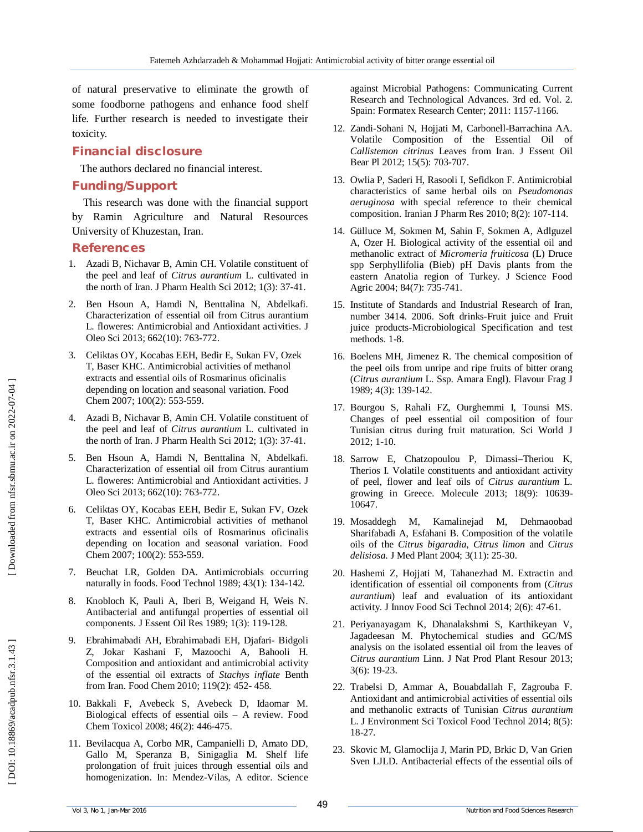of natural preservative to eliminate the growth of some foodborne pathogens and enhance food shelf life. Further research is needed to investigate their toxicity.

# **Financial disclosure**

The authors declared no financial interest.

# **Funding/Support**

This research was done with the financial support by Ramin Agriculture and Natural Resources University of Khuzestan, Iran.

### **References**

- 1 . Azadi B, Nichavar B, Amin CH. Volatile constituent of the peel and leaf of *Citrus aurantium* L. cultivated in the north of Iran. J Pharm Health Sci 2012; 1(3): 37 -41.
- 2 . Ben Hsoun A, Hamdi N, Benttalina N, Abdelkafi. Characterization of essential oil from Citrus aurantium L. floweres: Antimicrobial and Antioxidant activities. J Oleo Sci 2013; 662(10): 763 -772.
- 3 . Celiktas OY, Kocabas EEH, Bedir E, Sukan FV, Ozek T, Baser KHC. Antimicrobial activities of methanol extracts and essential oils of Rosmarinus oficinalis depending on location and seasonal variation. Food Chem 2007; 100(2): 553 -559.
- 4 . Azadi B, Nichavar B, Amin CH. Volatile constituent of the peel and leaf of *Citrus aurantium* L. cultivated in the north of Iran. J Pharm Health Sci 2012; 1(3): 37 -41.
- 5 . Ben Hsoun A, Hamdi N, Benttalina N, Abdelkafi. Characterization of essential oil from Citrus aurantium L. floweres: Antimicrobial and Antioxidant activities. J Oleo Sci 2013; 662(10): 763 -772.
- 6 . Celiktas OY, Kocabas EEH, Bedir E, Sukan FV, Ozek T, Baser KHC. Antimicrobial activities of methanol extracts and essential oils of Rosmarinus oficinalis depending on location and seasonal variation. Food Chem 2007; 100(2): 553 -559.
- 7 . Beuchat LR, Golden DA. Antimicrobials occurring naturally in foods. Food Technol 1989; 43(1): 134 -142.
- 8 . Knobloch K, Pauli A, Iberi B, Weigand H, Weis N. Antibacterial and antifungal properties of essential oil components. J Essent Oil Res 1989; 1(3): 119 -128.
- 9 . Ebrahimabadi AH, Ebrahimabadi EH, Djafari - Bidgoli Z, Jokar Kashani F, Mazoochi A, Bahooli H. Composition and antioxidant and antimicrobial activity of the essential oil extracts of *Stachys inflate* Benth from Iran. Food Chem 2010; 119(2): 452 - 458.
- 10 . Bakkali F, Avebeck S, Avebeck D, Idaomar M. Biological effects of essential oils – A review. Food Chem Toxicol 2008; 46(2): 446 -475.
- 11 . Bevilacqua A, Corbo MR, Campanielli D, Amato DD, Gallo M, Speranza B, Sinigaglia M. Shelf life prolongation of fruit juices through essential oils and homogenization. In: Mendez -Vilas, A editor. Science

against Microbial Pathogens: Communicating Current Research and Technological Advances. 3rd ed. Vol. 2. Spain: Formatex Research Center; 2011: 1157 -1166.

- 12 . Zandi -Sohani N, Hojjati M, Carbonell -Barrachina AA. Volatile Composition of the Essential Oil of *Callistemon citrinus* Leaves from Iran. J Essent Oil Bear Pl 2012; 15(5): 703 -707.
- 13 . Owlia P, Saderi H, Rasooli I, Sefidkon F. Antimicrobial characteristics of same herbal oils on *Pseudomonas aeruginosa* with special reference to their chemical composition. Iranian J Pharm Res 2010; 8(2): 107 -114.
- 14 . Gülluce M, Sokmen M, Sahin F, Sokmen A, Adlguzel A, Ozer H. Biological activity of the essential oil and methanolic extract of *Micromeria fruiticosa* (L) Druce spp Serphyllifolia (Bieb) pH Davis plants from the eastern Anatolia region of Turkey. J Science Food Agric 2004; 84(7): 735 -741.
- 15 . Institute of Standards and Industrial Research of Iran, number 3414. 2006. Soft drinks -Fruit juice and Fruit juice products -Microbiological Specification and test methods. 1 -8.
- 16 . Boelens MH, Jimenez R. The chemical composition of the peel oils from unripe and ripe fruits of bitter orang (*Citrus aurantium* L. Ssp. Amara Engl). Flavour Frag J 1989; 4(3): 139 -142.
- 17 . Bourgou S, Rahali FZ, Ourghemmi I, Tounsi MS. Changes of peel essential oil composition of four Tunisian citrus during fruit maturation. Sci World J 2012; 1 -10.
- 18 . Sarrow E, Chatzopoulou P, Dimassi –Theriou K, Therios I. Volatile constituents and antioxidant activity of peel, flower and leaf oils of *Citrus aurantium* L. growing in Greece. Molecule 2013; 18(9): 10639 - 10647.
- 19 . Mosaddegh M, Kamalinejad M, Dehmaoobad Sharifabadi A, Esfahani B. Composition of the volatile oils of the *Citrus bigaradia*, *Citrus limon* and *Citrus delisiosa*. J Med Plant 2004; 3(11): 25 -30.
- 20 . Hashemi Z, Hojjati M, Tahanezhad M. Extractin and identification of essential oil components from (*Citrus aurantium*) leaf and evaluation of its antioxidant activity. J Innov Food Sci Technol 2014; 2(6): 47 -61.
- 21 . Periyanayagam K, Dhanalakshmi S, Karthikeyan V, Jagadeesan M. Phytochemical studies and GC/MS analysis on the isolated essential oil from the leaves of *Citrus aurantium* Linn. J Nat Prod Plant Resour 2013; 3(6): 19 -23.
- 22 . Trabelsi D, Ammar A, Bouabdallah F, Zagrouba F. Antioxidant and antimicrobial activities of essential oils and methanolic extracts of Tunisian *Citrus aurantium* L. J Environment Sci Toxicol Food Technol 2014; 8(5): 18 -27.
- 23 . Skovic M, Glamoclija J, Marin PD, Brkic D, Van Grien Sven LJLD. Antibacterial effects of the essential oils of

DOI: 10.18869/acadpub.nfsr.3.1.43